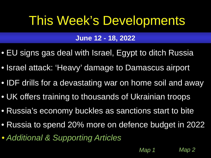# <span id="page-0-0"></span>This Week's Developments

## **June 12 - 18, 2022**

- [EU signs gas deal with Israel, Egypt to ditch Russia](#page-1-0)
- [Israel attack: 'Heavy' damage to Damascus airport](#page-2-0)
- [IDF drills for a devastating war on home soil and away](#page-3-0)
- [UK offers training to thousands of Ukrainian troops](#page-4-0)
- [Russia's economy buckles as sanctions start to bite](#page-5-0)
- [Russia to spend 20% more on defence budget in 2022](#page-6-0)

*[Map 1](#page-8-0) [Map 2](#page-9-0)*

• *[Additional & Supporting Articles](#page-7-0)*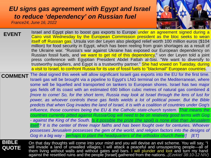#### <span id="page-1-0"></span>*[EU signs gas agreement with Egypt and Israel](#page-0-0)  to reduce 'dependency' on Russian fuel*

*France24, June 16, 2022*



| <b>EVENT</b>                 | isiael and Egypt plan to boost gas exports to Europe under an agreement signed during a<br>Cairo visit Wednesday by the European Commission president as the bloc seeks to wean<br>itself off Russian gas. Ursula von der Leyen also pledged relief worth 100 million euros (\$104<br>million) for food security in Egypt, which has been reeling from grain shortages as a result of<br>the Ukraine war. "Russia's war against Ukraine has exposed our European dependency on<br>Russian fossil fuels, and we want to get rid of this dependency," von der Leyen told a joint<br>press conference with Egyptian President Abdel Fattah al-Sisi. "We want to diversify to<br>trustworthy suppliers, and Egypt is a trustworthy partner." She had vowed on Tuesday, during<br>a visit to Israel, to confront Russia for its use of fossil fuels to "blackmail" European countries.                                                                                                                                                                                                                                                                                                                                                                                                                                     |
|------------------------------|-----------------------------------------------------------------------------------------------------------------------------------------------------------------------------------------------------------------------------------------------------------------------------------------------------------------------------------------------------------------------------------------------------------------------------------------------------------------------------------------------------------------------------------------------------------------------------------------------------------------------------------------------------------------------------------------------------------------------------------------------------------------------------------------------------------------------------------------------------------------------------------------------------------------------------------------------------------------------------------------------------------------------------------------------------------------------------------------------------------------------------------------------------------------------------------------------------------------------------------------------------------------------------------------------------------------------|
| <b>COMMENT</b>               | The deal signed this week will allow significant Israeli gas exports into the EU for the first time.<br>Israeli gas will be brought via a pipeline to Egypt's LNG terminal on the Mediterranean, where<br>some will be liquefied and transported on tankers to European shores. Israel has two major<br>gas fields off its coast with an estimated 690 billion cubic metres of natural gas combined &<br>[more to come! So, for the short term, Russia may look at Israel through the lens of lust for<br>power, as whoever controls these gas fields wields a lot of political power. But the Bible<br>predicts that when Gog invades the land of Israel, it is with a coalition of countries under Gog's<br>influence, those countries being the EU & the Catholic state-church system. That means the<br>countries currently pitted against Russia/Gog will need to be on relatively good terms with Gog<br>- against the King of the South. Is it possible the prize (the spoil) is none else than Jerusalem<br><i>itself?</i> It is the center of three major faiths and has been fought over for centuries. Whoever<br>possesses Jerusalem possesses the gem of the world, and religion factors into the designs of<br>Gog in a big way - perhaps to plant the headquarters of the orthodox church there!] [ET] |
| <b>BIBLE</b><br><b>QUOTE</b> | On that day thoughts will come into your mind and you will devise an evil scheme. You will say, "I<br>will invade a land of unwalled villages; I will attack a peaceful and unsuspecting people-all of<br>them living without walls and without gates and bars. I will plunder and loot and turn my hand                                                                                                                                                                                                                                                                                                                                                                                                                                                                                                                                                                                                                                                                                                                                                                                                                                                                                                                                                                                                              |

against the resettled ruins and the people [Israel] gathered from the nations…*(Ezekiel 38:10-12 NIV)*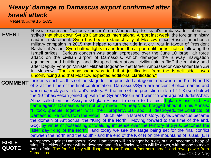#### <span id="page-2-0"></span>*['Heavy' damage to Damascus airport confirmed after](#page-0-0)  Israeli attack*

*Reuters, June 15, 2022*



| <b>EVENT</b>          | Russia expressed "serious concern" on Wednesday to Israel's ambassador about air<br>strikes that shut down Syria's Damascus International Airport last week, the foreign ministry<br>said in a statement. Syria has been a staunch ally of Moscow since Russia launched a<br>military campaign in 2015 that helped to turn the tide in a civil war in favour of President<br>Bashar al-Assad. Syria halted flights to and from the airport until further notice following the<br>Israeli strikes. "Serious concern was again expressed over the June 10 Israeli air force<br>attack on the civilian airport of Damascus, which damaged the runway, navigation<br>equipment and buildings, and disrupted international civilian air traffic," the ministry said<br>after Deputy Foreign Minister Mikhail Bogdanov met Israeli Ambassador Alexander Ben Zvi<br>in Moscow. "The ambassador was told that justification from the Israeli side was<br>unconvincing and that Moscow expected additional clarification." |
|-----------------------|-------------------------------------------------------------------------------------------------------------------------------------------------------------------------------------------------------------------------------------------------------------------------------------------------------------------------------------------------------------------------------------------------------------------------------------------------------------------------------------------------------------------------------------------------------------------------------------------------------------------------------------------------------------------------------------------------------------------------------------------------------------------------------------------------------------------------------------------------------------------------------------------------------------------------------------------------------------------------------------------------------------------|
| <b>COMMENT</b>        | Incidents such as this set the stage for the predicted antagonism between the K of N and K<br>of S at the time of the final confrontation. Damascus/Syria are ancient Biblical names and<br>were major players in Israel's history. At the time of the prediction in Isa 17:1-3 (see below)<br>the 10 tribes/Pekah joined up with the Syrians/Rezin and went to war against Judah/Ahaz.<br>Ahaz called on the Assryians/Tiglath-Pileser to come to his aid. Tiglath-Pileser did. He<br>came against Damascus and not only made it "a heap", but bragged about it in his Annals:<br>tookpeople together with their propertyas spoilI destroyedthedistricts of                                                                                                                                                                                                                                                                                                                                                      |
|                       | Damascus like ruins from the Flood." Much later in Israel's history, Syria/Damascus became<br>the domain of Antiochus, the "King of the North". Moving forward to the time of the end,<br>Gog, by virtue of possessing or wielding influence over the territory of Syria, becomes the<br>latter day "king of the North"; and today we see the stage being set for the final conflict<br>between the north and the south - and the end of the K of N on the mountains of Israel. (ET)                                                                                                                                                                                                                                                                                                                                                                                                                                                                                                                              |
| <b>BIBLE</b><br>QUOTE | A prophecy against Damascus: "See, Damascus will no longer be a city but will become a heap of ruins. The cities of Aroer will be deserted and left to flocks, which will lie down, with no one to make<br>them afraid. The fortified city will disappear from Ephraim [northern Israel], and royal power from<br><b>Damascus</b><br>(Isiah 17:1-3 NIV)                                                                                                                                                                                                                                                                                                                                                                                                                                                                                                                                                                                                                                                           |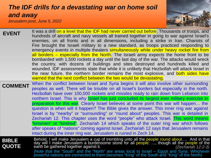## <span id="page-3-0"></span>*[The IDF drills for a devastating war on home soil](#page-0-0)  and away*

*Jerusalem post, June 5, 2022*



| <b>EVENT</b>                 | It was a drill on a level that the IDF had never carried out before. Thousands of troops, and<br>hundreds of aircraft and navy vessels all trained together in going to war against Israel's<br>enemies, on all fronts and in all dimensions, including a strike in Iran. Chariots of<br>Fire brought the Israeli military to a new standard, as troops practiced responding to<br>emergency events in multiple theaters simultaneously while under heavy rocket fire from<br>all borders – especially from the North. The Israeli army expects the home front to be                                                                                                                                                                                                                                                                                                                                                                                                                                                    |
|------------------------------|-------------------------------------------------------------------------------------------------------------------------------------------------------------------------------------------------------------------------------------------------------------------------------------------------------------------------------------------------------------------------------------------------------------------------------------------------------------------------------------------------------------------------------------------------------------------------------------------------------------------------------------------------------------------------------------------------------------------------------------------------------------------------------------------------------------------------------------------------------------------------------------------------------------------------------------------------------------------------------------------------------------------------|
|                              | bombarded with 1,500 rockets a day until the last day of the war. The attacks would wreck<br>the country, with dozens of buildings and sites destroyed and hundreds killed and<br>wounded. IDF assessments state that while it is unlikely that Hezbollah will attack Israel in                                                                                                                                                                                                                                                                                                                                                                                                                                                                                                                                                                                                                                                                                                                                         |
|                              | the near future, the northern border remains the most explosive, and both sides have<br>warned that the next conflict between the two would be devastating.                                                                                                                                                                                                                                                                                                                                                                                                                                                                                                                                                                                                                                                                                                                                                                                                                                                             |
| <b>COMMENT</b>               | When the conflict between Israel and Syria begins it will also involve other surrounding<br>peoples as well. There will be trouble on all Israel's borders but especially in the north.<br>Hezbollah have over 100,000 rockets and missiles ready to rain down from Lebanon into<br>northern Israel. This is why lsrael has just concluded its largest ever military exercise in<br>preparation for this war. Clearly Israel believes at some point this war will happen the<br>question is when will it happen? The Bible gives the answer. This inner ring war against<br>Israel is by "nearby" or "surrounding" or "round about" peoples. This war is detailed in<br>Zechariah 12. This chapter uses the word "people" who attack Israel. This word means<br>"kinsmen" or "kindred". Zechariah 14 which speaks of the outer ring war which follows<br>after speaks of "nations" coming against Israel. Zechariah 12 says that Jerusalem remains<br>intact during the inner ring war. Jerusalem is ruined in Zech 14. |
| <b>BIBLE</b><br><b>QUOTE</b> | Behold, I will make Jerusalem a cup of trembling unto all the people round about And in that day will I make Jerusalem a burdensome stone for all people: , though all the people of the<br>earth be gathered together against it.<br>(Zechariah 12:2-3)<br>(Note that the "South" and the "North" are areas local to Israel - Egypt and Syria. Whichever<br>powerful nations are connected to them becomes "King" of the South and "King" of the North)                                                                                                                                                                                                                                                                                                                                                                                                                                                                                                                                                                |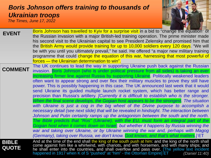#### <span id="page-4-0"></span>*[Boris Johnson offers training to thousands of](#page-0-0)  Ukrainian troops*

*The Times, June 17, 2022*



| <b>EVENT</b>                 | Boris Johnson has travelled to Kyiv for a surprise visit in a bid to "change the equation" of<br>the Russian invasion with a major British-led training operation. The prime minister made<br>his second visit to the Ukrainian capital to see President Zelensky and promised him that<br>the British Army would provide training for up to 10,000 soldiers every 120 days. "We will<br>be with you until you ultimately prevail," he said. He offered "a major new military training<br>programme that could change the equation of this war, harnessing that most powerful of<br>forces – the Ukrainian determination to win".                                                                                                                                                                                                                                                                                                                                                                                                                                                                                                                                                                                                                                                                                       |
|------------------------------|-------------------------------------------------------------------------------------------------------------------------------------------------------------------------------------------------------------------------------------------------------------------------------------------------------------------------------------------------------------------------------------------------------------------------------------------------------------------------------------------------------------------------------------------------------------------------------------------------------------------------------------------------------------------------------------------------------------------------------------------------------------------------------------------------------------------------------------------------------------------------------------------------------------------------------------------------------------------------------------------------------------------------------------------------------------------------------------------------------------------------------------------------------------------------------------------------------------------------------------------------------------------------------------------------------------------------|
| <b>COMMENT</b>               | The UK continues to lead the way in supporting Ukraine push back against the Russian                                                                                                                                                                                                                                                                                                                                                                                                                                                                                                                                                                                                                                                                                                                                                                                                                                                                                                                                                                                                                                                                                                                                                                                                                                    |
|                              | invasion. Boris Johnson (who is under political pressure from all sides) is taking an ever<br>increasing firmer line against Russia by supporting Ukraine. Politically weakened leaders<br>often want to appear strong and over flex their military muscles to prove they still have<br>power. This is possibly happening in this case. The UK announced last week that it would<br>send Ukraine its guided multiple launch rocket system, which has better range and<br>precision than Russia's artillery. [Currently it is difficult to establish who is the stronger.<br>When the final scene develops, the Gogian host appears to be the strongest. The situation<br>with Ukraine is just a cog in the big wheel of the Divine purpose to accomplish a<br>necessary detail (see next slide) that will be revealed in hindsight. The interaction between<br>Johnson and Putin certainly ramps up the antagonism between the south and the north.<br>The Bible predicts that "Ros" (Ukraine), with the EU, must form an integral part of the<br>Gogian host when it comes down on Israel; but whether it happens by Russia winning the<br>war and taking over Ukraine, or by Ukraine winning the war and, perhaps with Magog<br>(Germany), taking over Russia, we don't know. God knows, and that's what matters. JET |
| <b>BIBLE</b><br><b>QUOTE</b> | And at the time of the end shall the king of the south push at him: and the king of the north shall<br>come against him like a whirlwind, with chariots, and with horsemen, and with many ships; and<br>he shall enter into the countries, and shall overflow and pass over. [The yellow text incident<br>happened in 1917 when K of S "pushed" at "him" - the Ottoman Empire] ET<br><i>(Daniel 11:40)</i>                                                                                                                                                                                                                                                                                                                                                                                                                                                                                                                                                                                                                                                                                                                                                                                                                                                                                                              |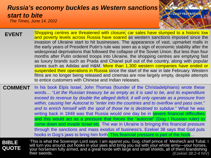#### <span id="page-5-0"></span>*The Times, June 14, 2022 [Russia's economy buckles as Western sanctions](#page-0-0) start to bite*

**RUSSIAN FEDERATIO** 

- Shopping centres are threatened with closure, car sales have slumped to a historic low and poverty levels across Russia have soared as western sanctions imposed since the invasion of Ukraine start to hit businesses. The appearance of vast, upmarket malls in the early years of President Putin's rule was seen as a sign of economic stability after the widespread deprivations that followed the collapse of the Soviet Union. But less than four months after Putin ordered troops into Ukraine, the shopping centres are emptying fast as luxury brands such as Prada and Chanel pull out of the country, along with popular stores such as Adidas and H&M. More than 1,300 western companies have ended or suspended their operations in Russia since the start of the war in late February. Western films are no longer being released and cinemas are now largely empty, despite attempts to entice customers with Chinese and Indian releases. **EVENT**
- **COMMENT** In his book Elpis Israel, John Thomas (founder of the Christadelphians) wrote these words… "*Let the Russian treasury be as empty as it is said to be, and its expenditure exceed its revenue by double the alleged deficit, it will only operate as a pressure from within, causing her Autocrat to "enter into the countries and to overflow and pass over," and to enrich himself with the spoil of those he is destined to subdue*." What he was writing back in 1848 was that Russia would one day be in severe financial difficulties and this would act as a pressure that forces the "autocrat" (Gog / Russian ruler) to come down and invade Israel etc. The war in Ukraine is bringing this financial pressure through the sanctions and mass exodus of business's. Ezekiel 38 says that God puts hooks in Gog's jaws to bring him forth. This financial pressure is part of the hook...

**BIBLE QUOTE**

'This is what the Sovereign Lord says: I am against you, Gog, chief prince of Meshech and Tubal. I will turn you around, put hooks in your jaws and bring you out with your whole army—your horses, your horsemen fully armed, and a great horde with large and small shields, all of them brandishing their swords. *(Ezekiel 38:2-4 NIV)*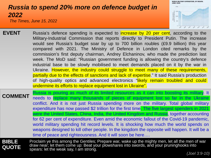#### <span id="page-6-0"></span>*[Russia to spend 20% more on defence](#page-0-0) budget in 2022*

*The Times, June 15, 2022*



| <b>EVENT</b> | Russia's defence spending is expected to increase by 20 per cent, according to the            |
|--------------|-----------------------------------------------------------------------------------------------|
|              | Military-Industrial Commission that reports directly to President Putin. The increase         |
|              | would see Russia's budget soar by up to 700 billion roubles (£9.9 billion) this year          |
|              | compared with 2021. The Ministry of Defence in London cited remarks by the                    |
|              | commission's first deputy chairman, Andrey Elchaninov, who made the prediction last           |
|              | week. The MoD said: "Russian government funding is allowing the country's defence             |
|              | industrial base to be slowly mobilised to meet demands placed on it by the war in             |
|              | Ukraine. However, the industry could struggle to meet many of these requirements,             |
|              | partially due to the effects of sanctions and lack of expertise." It said Russia's production |
|              | of high-quality optics and advanced electronics "likely remain troubled and could             |
|              | undermine its efforts to replace equipment lost in Ukraine".                                  |

**COMMENT** Russia is pouring as much of its limited resources as it can into boosting its military. It needs to replace many thousands of pieces of equipment lost so far in the Ukraine conflict. And it is not just Russia spending more on the military. Total global military expenditure has now passed \$2 trillion for the first time. The five largest spenders in 2021 were the United States, China, India, the United Kingdom and Russia, together accounting for 62 per cent of expenditure. Even amid the economic fallout of the Covid-19 pandemic, world military spending hit record levels. It is shocking how much the world spends on weapons designed to kill other people. In the kingdom the opposite will happen. It will be a time of peace and righteousness. And it will soon be here….

**BIBLE QUOTE** Proclaim ye this among the Gentiles; Prepare war, wake up the mighty men, let all the men of war draw near; let them come up: Beat your plowshares into swords, and your pruninghooks into spears: let the weak say, I am strong. *(Joel 3:9-10)*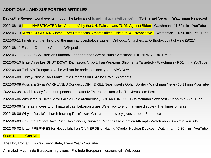#### <span id="page-7-0"></span>**[ADDITIONAL AND SUPPORTING ARTICLES](#page-0-0)**

**DebkaFile Review** [\(world events through the bi-focals of Israeli military intelligence\)](https://www.debka.com/review/) **[TV-7 Israel News](https://www.youtube.com/watch?v=gzvrBjIeGP4)**  Snam [Natural Gas Atlas](http://www.snamatlas.it/world_of_gas) [2022-06-08 Turkey-Russia Talks Make Little Progress on Ukraine Grain Shipments](https://www.voanews.com/a/turkey-russia-talks-make-little-progress-on-ukraine-grain-shipments/6608703.html) [2022-06-10 Israel Airstrikes SHUT DOWN Damascus Airport; Iran Weapons Shipments Targeted- -](https://www.youtube.com/watch?v=7XY5gdjo5DQ) Watchman - 9.52 min - YouTube [2022-06-06 Why is Russia's church backing Putin's war-](https://www.britannica.com/story/why-is-russias-church-backing-putins-warchurch-statehistory-gives-aclue) Church-state history gives a clue - Britannica [2022-06-09 Turkey's Erdogan says he will run for reelection next year -](https://abcnews.go.com/International/wireStory/turkeys-erdogan-run-reelection-year-85285114) ABC News [2022-06-06 Why Israel's Silver Scrolls Are a Bible Archaeology BREAKTHROUGH -](https://www.youtube.com/watch?v=9eabHxfaL2E) Watchman Newscast - 12.55 min - YouTube [2022-06-16 Israel INVESTIGATED for "Apartheid" by the UN; Palestinians TURN Against Biden -](https://www.youtube.com/watch?v=ZbZGfwaT1sI) Watchman - 11.39 min - YouTube [2022-06-02 Israel PREPARES for Hezbollah; Iran ON VERGE of Having "Crude" Nuclear Devices -](https://www.youtube.com/watch?v=gjsl54XUbz4) Watchman - 9.30 min - YouTube [2022-06-11 Timeline of the History of the main autocephalous Eastern Orthodox Churches, E. Orthodox point of view \(2021\)](https://en.wikipedia.org/wiki/Eastern_Orthodox_Church/media/File:Timeline_of_the_History_of_the_main_autocephalous_Eastern_Orthodox_Churches,_E._Orthodox_point_of_view_(2021).svg) [2022-06-03 U.S. Intel Report Says Putin Has Cancer, Survived Recent Assassination Attempt -](https://www.youtube.com/watch?v=ZYTPUq-tUmw) Watchman - 8.45 min YouTube [2022-06-06 As Israel moves to drill natural gas, Lebanon urges US envoy to end maritime dispute -](https://www.timesofisrael.com/as-israel-moves-to-drill-natural-gas-lebanon-urges-us-envoy-to-end-maritime-dispute/) The Times of Israel **[Watchman Newscast](https://www.youtube.com/channel/UCD8YGIxFCnVqv-ZGqgtVWAg)**  2022-06-11 - [2022-05-22 Russian Orthodox Leader at the Core of Putin's Ambitions THE NEW YORK TIMES](https://7c49dbf9-ee34-4aab-b804-d1b7950cf9fa.usrfiles.com/ugd/7c49db_50833e64767f43ae9a187806bbfb4538.pdf) [2022-06-13 Russia CONDEMNS Israel Over Damascus Airport Strikes- -Vicious-](https://www.youtube.com/watch?v=HoGW8vNJkd0) & -Provocative- - Watchman - 10.56 min - YouTube [2022-06-08 Russia & Syria WARPLANES Conduct JOINT DRILL Near Israel's Golan Border -](https://www.youtube.com/watch?v=Xt2ZHFUAXlU) Watchman News- 10.11 min -YouTube [2022-06-08 Israel is ready for an unrepentant Iran after IAEA rebuke -](https://www.jpost.com/middle-east/article-708897) analysis - The Jerusalem Post [2022-06-11 Eastern Orthodox Church -](https://en.wikipedia.org/wiki/Eastern_Orthodox_Church) Wikipedia

[The Holy Roman Empire-](https://www.youtube.com/watch?v=_DzOH98Q6TQ&t=95s) Every State, Every Year - YouTube

Animated Map - Indo-European migrations - [File-Indo-European migrations.gif -](https://en.wikipedia.org/wiki/File:Indo-European_migrations.gif#/media/File:Indo-European_migrations.gif) Wikipedia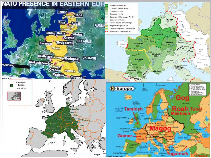